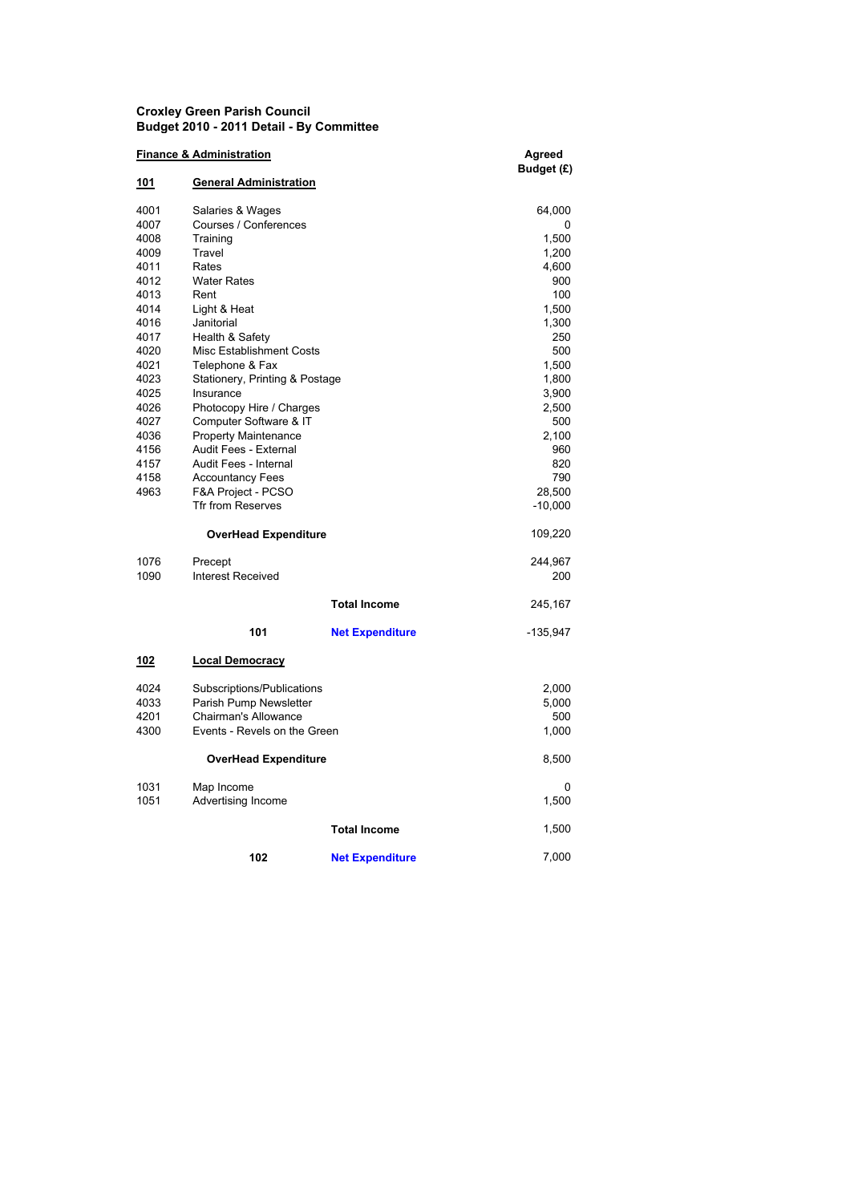## Croxley Green Parish Council Budget 2010 - 2011 Detail - By Committee

| <b>Finance &amp; Administration</b> |                                |                        | Agreed     |
|-------------------------------------|--------------------------------|------------------------|------------|
|                                     |                                |                        | Budget (£) |
| <u> 101</u>                         | <b>General Administration</b>  |                        |            |
| 4001                                | Salaries & Wages               |                        | 64,000     |
| 4007                                | Courses / Conferences          |                        | 0          |
| 4008                                | Training                       |                        | 1,500      |
| 4009                                | Travel                         |                        | 1,200      |
| 4011                                | Rates                          |                        | 4,600      |
| 4012                                | <b>Water Rates</b>             |                        | 900        |
| 4013                                | Rent                           |                        | 100        |
| 4014                                | Light & Heat                   |                        | 1,500      |
| 4016                                | Janitorial                     |                        | 1,300      |
| 4017                                | Health & Safety                |                        | 250        |
| 4020                                | Misc Establishment Costs       |                        | 500        |
| 4021                                | Telephone & Fax                |                        | 1,500      |
| 4023                                | Stationery, Printing & Postage |                        | 1,800      |
| 4025                                | Insurance                      |                        | 3,900      |
| 4026                                | Photocopy Hire / Charges       |                        | 2,500      |
| 4027                                | Computer Software & IT         |                        | 500        |
| 4036                                | <b>Property Maintenance</b>    |                        | 2,100      |
| 4156                                | Audit Fees - External          |                        | 960        |
| 4157                                | Audit Fees - Internal          |                        | 820        |
| 4158                                | <b>Accountancy Fees</b>        |                        | 790        |
| 4963                                | F&A Project - PCSO             |                        | 28,500     |
|                                     | <b>Tfr from Reserves</b>       |                        | $-10,000$  |
|                                     | <b>OverHead Expenditure</b>    |                        | 109,220    |
| 1076                                | Precept                        |                        | 244,967    |
| 1090                                | <b>Interest Received</b>       |                        | 200        |
|                                     |                                |                        |            |
|                                     |                                | <b>Total Income</b>    | 245,167    |
|                                     | 101                            | <b>Net Expenditure</b> | $-135,947$ |
| 102                                 | <b>Local Democracy</b>         |                        |            |
| 4024                                | Subscriptions/Publications     |                        | 2,000      |
| 4033                                | Parish Pump Newsletter         |                        | 5,000      |
| 4201                                | <b>Chairman's Allowance</b>    |                        | 500        |
| 4300                                | Events - Revels on the Green   |                        | 1,000      |
|                                     |                                |                        |            |
|                                     | <b>OverHead Expenditure</b>    |                        | 8,500      |
| 1031                                | Map Income                     |                        | 0          |
| 1051                                | Advertising Income             |                        | 1,500      |
|                                     |                                | <b>Total Income</b>    | 1,500      |
|                                     | 102                            | <b>Net Expenditure</b> | 7,000      |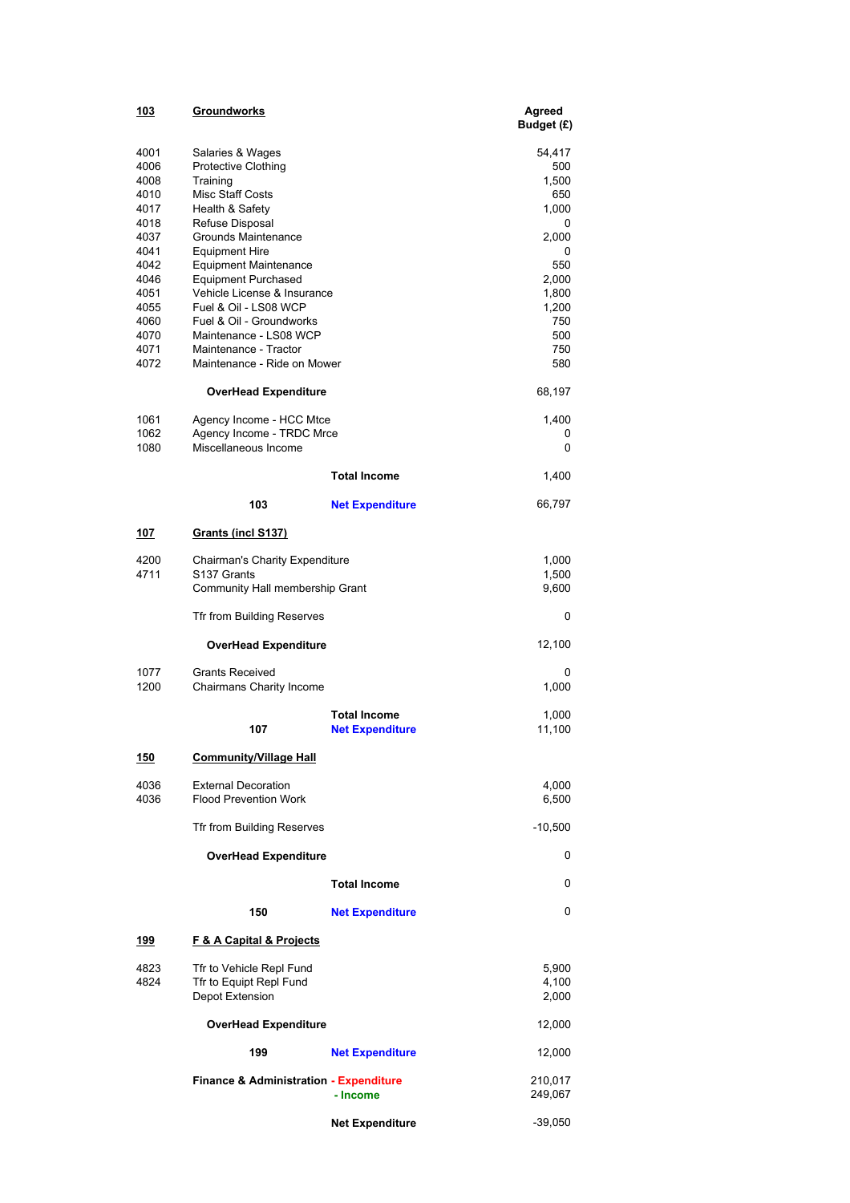| <u> 103</u>  | Groundworks                                                |                                               | Agreed<br>Budget (£) |
|--------------|------------------------------------------------------------|-----------------------------------------------|----------------------|
| 4001         | Salaries & Wages                                           |                                               | 54,417               |
| 4006<br>4008 | Protective Clothing                                        |                                               | 500<br>1,500         |
| 4010         | Training<br>Misc Staff Costs                               |                                               | 650                  |
| 4017         | Health & Safety                                            |                                               | 1,000                |
| 4018         | Refuse Disposal                                            |                                               | 0                    |
| 4037         | Grounds Maintenance                                        |                                               | 2,000                |
| 4041         | Equipment Hire                                             |                                               | 0                    |
| 4042         | <b>Equipment Maintenance</b>                               |                                               | 550                  |
| 4046         | <b>Equipment Purchased</b>                                 |                                               | 2,000                |
| 4051<br>4055 | Vehicle License & Insurance<br>Fuel & Oil - LS08 WCP       |                                               | 1,800<br>1,200       |
| 4060         | Fuel & Oil - Groundworks                                   |                                               | 750                  |
| 4070         | Maintenance - LS08 WCP                                     |                                               | 500                  |
| 4071         | Maintenance - Tractor                                      |                                               | 750                  |
| 4072         | Maintenance - Ride on Mower                                |                                               | 580                  |
|              | OverHead Expenditure                                       |                                               | 68,197               |
| 1061         | Agency Income - HCC Mtce                                   |                                               | 1,400                |
| 1062         | Agency Income - TRDC Mrce                                  |                                               | 0                    |
| 1080         | Miscellaneous Income                                       |                                               | 0                    |
|              |                                                            | <b>Total Income</b>                           | 1,400                |
|              | 103                                                        | <b>Net Expenditure</b>                        | 66,797               |
| 107          | <b>Grants (incl S137)</b>                                  |                                               |                      |
| 4200         | <b>Chairman's Charity Expenditure</b>                      |                                               | 1,000                |
| 4711         | S <sub>137</sub> Grants                                    |                                               | 1,500                |
|              | Community Hall membership Grant                            |                                               | 9,600                |
|              | Tfr from Building Reserves                                 |                                               | 0                    |
|              | <b>OverHead Expenditure</b>                                |                                               | 12,100               |
| 1077<br>1200 | <b>Grants Received</b><br>Chairmans Charity Income         |                                               | 0<br>1,000           |
|              |                                                            |                                               |                      |
|              | 107                                                        | <b>Total Income</b><br><b>Net Expenditure</b> | 1,000<br>11,100      |
| <u>150</u>   | <b>Community/Village Hall</b>                              |                                               |                      |
| 4036<br>4036 | <b>External Decoration</b><br><b>Flood Prevention Work</b> |                                               | 4,000<br>6,500       |
|              | Tfr from Building Reserves                                 |                                               | $-10,500$            |
|              | <b>OverHead Expenditure</b>                                |                                               | 0                    |
|              |                                                            | <b>Total Income</b>                           | 0                    |
|              | 150                                                        | <b>Net Expenditure</b>                        | 0                    |
| 199          | <b>F &amp; A Capital &amp; Projects</b>                    |                                               |                      |
| 4823         | Tfr to Vehicle Repl Fund                                   |                                               | 5,900                |
| 4824         | Tfr to Equipt Repl Fund<br>Depot Extension                 |                                               | 4,100<br>2,000       |
|              | <b>OverHead Expenditure</b>                                |                                               | 12,000               |
|              | 199                                                        | <b>Net Expenditure</b>                        | 12,000               |
|              | <b>Finance &amp; Administration - Expenditure</b>          | - Income                                      | 210,017<br>249,067   |
|              |                                                            | <b>Net Expenditure</b>                        | -39,050              |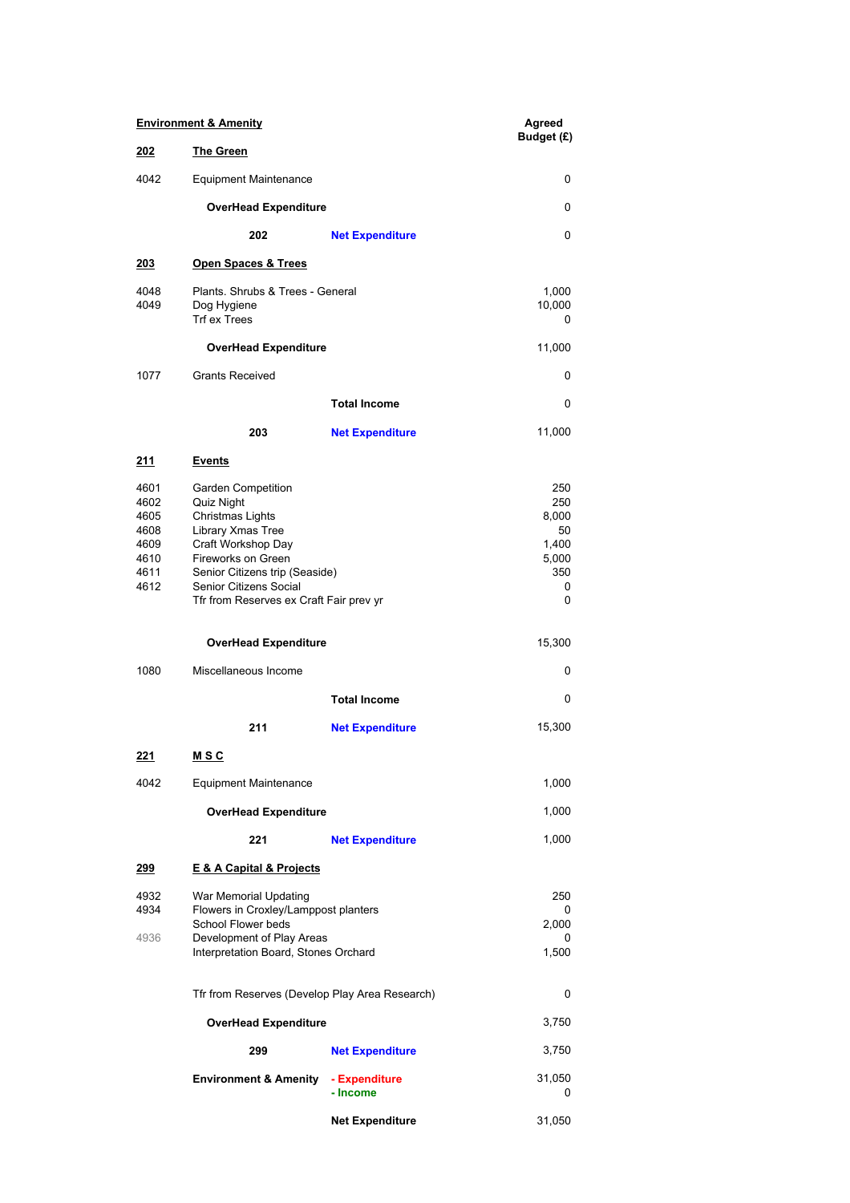| <b>Environment &amp; Amenity</b>                             |                                                                                                                                                                                                                                     |                           | Agreed<br>Budget (£)                                         |
|--------------------------------------------------------------|-------------------------------------------------------------------------------------------------------------------------------------------------------------------------------------------------------------------------------------|---------------------------|--------------------------------------------------------------|
| 202                                                          | <b>The Green</b>                                                                                                                                                                                                                    |                           |                                                              |
| 4042                                                         | <b>Equipment Maintenance</b>                                                                                                                                                                                                        | 0                         |                                                              |
|                                                              | <b>OverHead Expenditure</b>                                                                                                                                                                                                         |                           | 0                                                            |
|                                                              | 202                                                                                                                                                                                                                                 | <b>Net Expenditure</b>    | 0                                                            |
| <u> 203</u>                                                  | <b>Open Spaces &amp; Trees</b>                                                                                                                                                                                                      |                           |                                                              |
| 4048<br>4049                                                 | Plants, Shrubs & Trees - General<br>Dog Hygiene<br><b>Trf ex Trees</b>                                                                                                                                                              |                           | 1,000<br>10,000<br>0                                         |
|                                                              | <b>OverHead Expenditure</b>                                                                                                                                                                                                         |                           | 11,000                                                       |
| 1077                                                         | <b>Grants Received</b>                                                                                                                                                                                                              |                           | 0                                                            |
|                                                              |                                                                                                                                                                                                                                     | <b>Total Income</b>       | 0                                                            |
|                                                              | 203                                                                                                                                                                                                                                 | <b>Net Expenditure</b>    | 11,000                                                       |
| 211                                                          | <u>Events</u>                                                                                                                                                                                                                       |                           |                                                              |
| 4601<br>4602<br>4605<br>4608<br>4609<br>4610<br>4611<br>4612 | <b>Garden Competition</b><br>Quiz Night<br>Christmas Lights<br>Library Xmas Tree<br>Craft Workshop Day<br>Fireworks on Green<br>Senior Citizens trip (Seaside)<br>Senior Citizens Social<br>Tfr from Reserves ex Craft Fair prev yr |                           | 250<br>250<br>8,000<br>50<br>1,400<br>5,000<br>350<br>0<br>0 |
|                                                              | <b>OverHead Expenditure</b>                                                                                                                                                                                                         |                           | 15,300                                                       |
| 1080                                                         | Miscellaneous Income                                                                                                                                                                                                                |                           | 0                                                            |
|                                                              |                                                                                                                                                                                                                                     | <b>Total Income</b>       | 0                                                            |
|                                                              | 211                                                                                                                                                                                                                                 | <b>Net Expenditure</b>    | 15,300                                                       |
| 221                                                          | <u>MSC</u>                                                                                                                                                                                                                          |                           |                                                              |
| 4042                                                         | <b>Equipment Maintenance</b>                                                                                                                                                                                                        |                           | 1,000                                                        |
|                                                              | <b>OverHead Expenditure</b>                                                                                                                                                                                                         |                           | 1,000                                                        |
|                                                              | 221                                                                                                                                                                                                                                 | <b>Net Expenditure</b>    | 1,000                                                        |
| <u> 299</u>                                                  | <b>E &amp; A Capital &amp; Projects</b>                                                                                                                                                                                             |                           |                                                              |
| 4932<br>4934<br>4936                                         | War Memorial Updating<br>Flowers in Croxley/Lamppost planters<br>School Flower beds<br>Development of Play Areas<br>Interpretation Board, Stones Orchard                                                                            |                           | 250<br>0<br>2,000<br>1,500                                   |
|                                                              | Tfr from Reserves (Develop Play Area Research)<br><b>OverHead Expenditure</b>                                                                                                                                                       |                           |                                                              |
|                                                              |                                                                                                                                                                                                                                     |                           |                                                              |
|                                                              | 299                                                                                                                                                                                                                                 | <b>Net Expenditure</b>    | 3,750                                                        |
|                                                              | <b>Environment &amp; Amenity</b>                                                                                                                                                                                                    | - Expenditure<br>- Income | 31,050<br>0                                                  |
|                                                              |                                                                                                                                                                                                                                     | <b>Net Expenditure</b>    | 31,050                                                       |